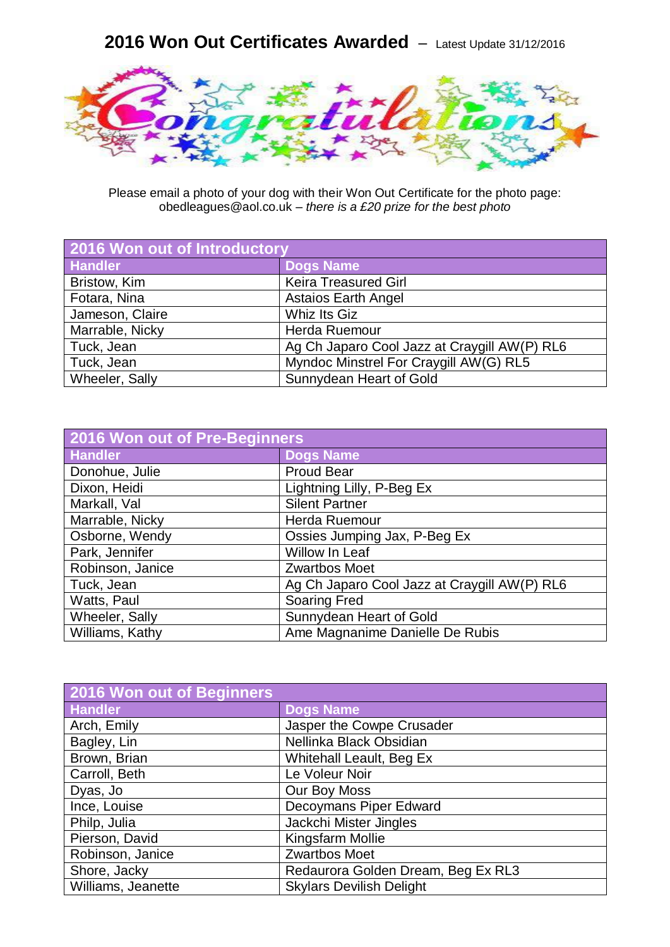## **2016 Won Out Certificates Awarded** – Latest Update 31/12/2016



Please email a photo of your dog with their Won Out Certificate for the photo page: obedleagues@aol.co.uk – *there is a £20 prize for the best photo*

| 2016 Won out of Introductory |                                              |
|------------------------------|----------------------------------------------|
| <b>Handler</b>               | Dogs Name                                    |
| Bristow, Kim                 | <b>Keira Treasured Girl</b>                  |
| Fotara, Nina                 | <b>Astaios Earth Angel</b>                   |
| Jameson, Claire              | <b>Whiz Its Giz</b>                          |
| Marrable, Nicky              | Herda Ruemour                                |
| Tuck, Jean                   | Ag Ch Japaro Cool Jazz at Craygill AW(P) RL6 |
| Tuck, Jean                   | Myndoc Minstrel For Craygill AW(G) RL5       |
| Wheeler, Sally               | Sunnydean Heart of Gold                      |

| 2016 Won out of Pre-Beginners |                                              |
|-------------------------------|----------------------------------------------|
| <b>Handler</b>                | <b>Dogs Name</b>                             |
| Donohue, Julie                | <b>Proud Bear</b>                            |
| Dixon, Heidi                  | Lightning Lilly, P-Beg Ex                    |
| Markall, Val                  | <b>Silent Partner</b>                        |
| Marrable, Nicky               | Herda Ruemour                                |
| Osborne, Wendy                | Ossies Jumping Jax, P-Beg Ex                 |
| Park, Jennifer                | Willow In Leaf                               |
| Robinson, Janice              | <b>Zwartbos Moet</b>                         |
| Tuck, Jean                    | Ag Ch Japaro Cool Jazz at Craygill AW(P) RL6 |
| Watts, Paul                   | <b>Soaring Fred</b>                          |
| Wheeler, Sally                | Sunnydean Heart of Gold                      |
| Williams, Kathy               | Ame Magnanime Danielle De Rubis              |

| 2016 Won out of Beginners |                                    |
|---------------------------|------------------------------------|
| <b>Handler</b>            | <b>Dogs Name</b>                   |
| Arch, Emily               | Jasper the Cowpe Crusader          |
| Bagley, Lin               | Nellinka Black Obsidian            |
| Brown, Brian              | <b>Whitehall Leault, Beg Ex</b>    |
| Carroll, Beth             | Le Voleur Noir                     |
| Dyas, Jo                  | Our Boy Moss                       |
| Ince, Louise              | Decoymans Piper Edward             |
| Philp, Julia              | Jackchi Mister Jingles             |
| Pierson, David            | Kingsfarm Mollie                   |
| Robinson, Janice          | <b>Zwartbos Moet</b>               |
| Shore, Jacky              | Redaurora Golden Dream, Beg Ex RL3 |
| Williams, Jeanette        | <b>Skylars Devilish Delight</b>    |